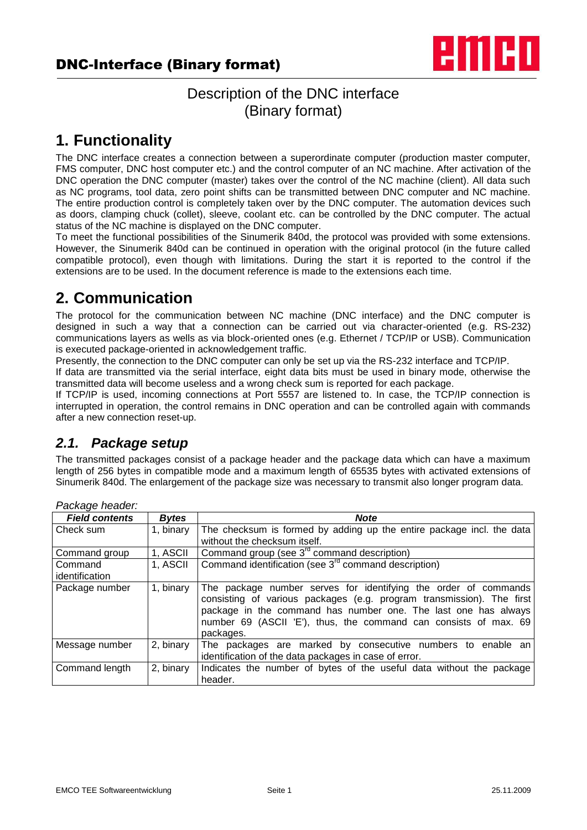

## Description of the DNC interface (Binary format)

# **1. Functionality**

The DNC interface creates a connection between a superordinate computer (production master computer, FMS computer, DNC host computer etc.) and the control computer of an NC machine. After activation of the DNC operation the DNC computer (master) takes over the control of the NC machine (client). All data such as NC programs, tool data, zero point shifts can be transmitted between DNC computer and NC machine. The entire production control is completely taken over by the DNC computer. The automation devices such as doors, clamping chuck (collet), sleeve, coolant etc. can be controlled by the DNC computer. The actual status of the NC machine is displayed on the DNC computer.

To meet the functional possibilities of the Sinumerik 840d, the protocol was provided with some extensions. However, the Sinumerik 840d can be continued in operation with the original protocol (in the future called compatible protocol), even though with limitations. During the start it is reported to the control if the extensions are to be used. In the document reference is made to the extensions each time.

# **2. Communication**

The protocol for the communication between NC machine (DNC interface) and the DNC computer is designed in such a way that a connection can be carried out via character-oriented (e.g. RS-232) communications layers as wells as via block-oriented ones (e.g. Ethernet / TCP/IP or USB). Communication is executed package-oriented in acknowledgement traffic.

Presently, the connection to the DNC computer can only be set up via the RS-232 interface and TCP/IP.

If data are transmitted via the serial interface, eight data bits must be used in binary mode, otherwise the transmitted data will become useless and a wrong check sum is reported for each package.

If TCP/IP is used, incoming connections at Port 5557 are listened to. In case, the TCP/IP connection is interrupted in operation, the control remains in DNC operation and can be controlled again with commands after a new connection reset-up.

## *2.1. Package setup*

The transmitted packages consist of a package header and the package data which can have a maximum length of 256 bytes in compatible mode and a maximum length of 65535 bytes with activated extensions of Sinumerik 840d. The enlargement of the package size was necessary to transmit also longer program data.

| aunayu nuauun.            |              |                                                                                                                                                                                                                                                                                             |
|---------------------------|--------------|---------------------------------------------------------------------------------------------------------------------------------------------------------------------------------------------------------------------------------------------------------------------------------------------|
| <b>Field contents</b>     | <b>Bytes</b> | <b>Note</b>                                                                                                                                                                                                                                                                                 |
| Check sum                 | 1, binary    | The checksum is formed by adding up the entire package incl. the data<br>without the checksum itself.                                                                                                                                                                                       |
| Command group             | 1, ASCII     | Command group (see 3 <sup>rd</sup> command description)                                                                                                                                                                                                                                     |
| Command<br>identification | 1, ASCII     | Command identification (see 3 <sup>rd</sup> command description)                                                                                                                                                                                                                            |
| Package number            | 1, binary    | The package number serves for identifying the order of commands<br>consisting of various packages (e.g. program transmission). The first<br>package in the command has number one. The last one has always<br>number 69 (ASCII 'E'), thus, the command can consists of max. 69<br>packages. |
| Message number            | 2, binary    | The packages are marked by consecutive numbers to enable an<br>identification of the data packages in case of error.                                                                                                                                                                        |
| Command length            | 2, binary    | Indicates the number of bytes of the useful data without the package<br>header.                                                                                                                                                                                                             |

*Package header:*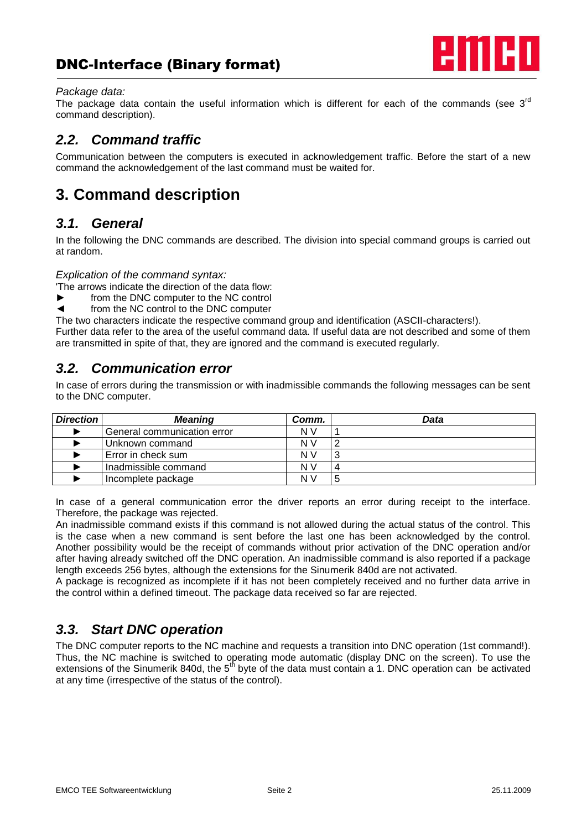

#### *Package data:*

The package data contain the useful information which is different for each of the commands (see  $3<sup>rd</sup>$ command description).

## *2.2. Command traffic*

Communication between the computers is executed in acknowledgement traffic. Before the start of a new command the acknowledgement of the last command must be waited for.

# **3. Command description**

### *3.1. General*

In the following the DNC commands are described. The division into special command groups is carried out at random.

*Explication of the command syntax:*

'The arrows indicate the direction of the data flow:

- from the DNC computer to the NC control
- from the NC control to the DNC computer

The two characters indicate the respective command group and identification (ASCII-characters!).

Further data refer to the area of the useful command data. If useful data are not described and some of them are transmitted in spite of that, they are ignored and the command is executed regularly.

## *3.2. Communication error*

In case of errors during the transmission or with inadmissible commands the following messages can be sent to the DNC computer.

| <b>Direction</b> | <b>Meaning</b>              | Comm.          | Data |
|------------------|-----------------------------|----------------|------|
|                  | General communication error | N V            |      |
|                  | Unknown command             | N V            |      |
|                  | Error in check sum          | N V            | ົ    |
|                  | Inadmissible command        | N <sub>V</sub> |      |
|                  | Incomplete package          | N V            | 5    |

In case of a general communication error the driver reports an error during receipt to the interface. Therefore, the package was rejected.

An inadmissible command exists if this command is not allowed during the actual status of the control. This is the case when a new command is sent before the last one has been acknowledged by the control. Another possibility would be the receipt of commands without prior activation of the DNC operation and/or after having already switched off the DNC operation. An inadmissible command is also reported if a package length exceeds 256 bytes, although the extensions for the Sinumerik 840d are not activated.

A package is recognized as incomplete if it has not been completely received and no further data arrive in the control within a defined timeout. The package data received so far are rejected.

## *3.3. Start DNC operation*

The DNC computer reports to the NC machine and requests a transition into DNC operation (1st command!). Thus, the NC machine is switched to operating mode automatic (display DNC on the screen). To use the extensions of the Sinumerik 840d, the  $5<sup>th</sup>$  byte of the data must contain a 1. DNC operation can be activated at any time (irrespective of the status of the control).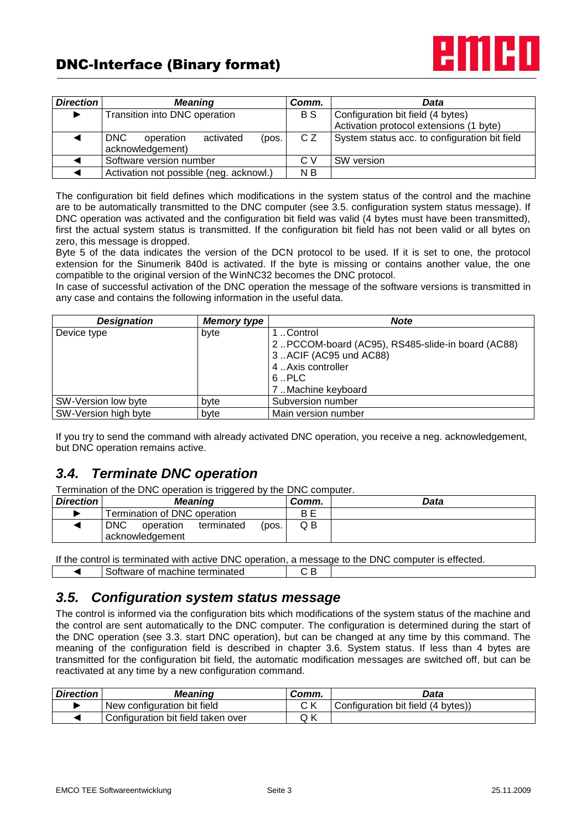

| Direction | <b>Meaning</b>                          |           |       | Comm. | Data                                          |
|-----------|-----------------------------------------|-----------|-------|-------|-----------------------------------------------|
|           | Transition into DNC operation           |           |       | B S   | Configuration bit field (4 bytes)             |
|           |                                         |           |       |       | Activation protocol extensions (1 byte)       |
|           | <b>DNC</b><br>operation                 | activated | (pos. | C Z   | System status acc. to configuration bit field |
|           | acknowledgement)                        |           |       |       |                                               |
|           | Software version number                 |           |       | C V   | SW version                                    |
|           | Activation not possible (neg. acknowl.) |           |       | N B   |                                               |

The configuration bit field defines which modifications in the system status of the control and the machine are to be automatically transmitted to the DNC computer (see 3.5. configuration system status message). If DNC operation was activated and the configuration bit field was valid (4 bytes must have been transmitted), first the actual system status is transmitted. If the configuration bit field has not been valid or all bytes on zero, this message is dropped.

Byte 5 of the data indicates the version of the DCN protocol to be used. If it is set to one, the protocol extension for the Sinumerik 840d is activated. If the byte is missing or contains another value, the one compatible to the original version of the WinNC32 becomes the DNC protocol.

In case of successful activation of the DNC operation the message of the software versions is transmitted in any case and contains the following information in the useful data.

| <b>Designation</b>   | <b>Memory type</b> | <b>Note</b>                                        |
|----------------------|--------------------|----------------------------------------------------|
| Device type          | byte               | Control                                            |
|                      |                    | 2. PCCOM-board (AC95), RS485-slide-in board (AC88) |
|                      |                    | 3.ACIF (AC95 und AC88)                             |
|                      |                    | 4. Axis controller                                 |
|                      |                    | $6.$ PLC                                           |
|                      |                    | 7. Machine keyboard                                |
| SW-Version low byte  | byte               | Subversion number                                  |
| SW-Version high byte | byte               | Main version number                                |

If you try to send the command with already activated DNC operation, you receive a neg. acknowledgement, but DNC operation remains active.

## *3.4. Terminate DNC operation*

Termination of the DNC operation is triggered by the DNC computer.

| <b>Direction</b> | ັ<br>Meaning                                                      | Comm. | Data |
|------------------|-------------------------------------------------------------------|-------|------|
|                  | Fermination of DNC operation                                      | ΒE    |      |
|                  | <b>DNC</b><br>operation<br>terminated<br>(pos.<br>acknowledgement | Q B   |      |

If the control is terminated with active DNC operation, a message to the DNC computer is effected. ◄ Software of machine terminated C B

### *3.5. Configuration system status message*

The control is informed via the configuration bits which modifications of the system status of the machine and the control are sent automatically to the DNC computer. The configuration is determined during the start of the DNC operation (see 3.3. start DNC operation), but can be changed at any time by this command. The meaning of the configuration field is described in chapter 3.6. System status. If less than 4 bytes are transmitted for the configuration bit field, the automatic modification messages are switched off, but can be reactivated at any time by a new configuration command.

| <b>Direction</b> | <b>Meaning</b>                     | Comm.     | Data                               |
|------------------|------------------------------------|-----------|------------------------------------|
|                  | New configuration bit field        | $\sim$ 1/ | Configuration bit field (4 bytes)) |
|                  | Configuration bit field taken over | Q K       |                                    |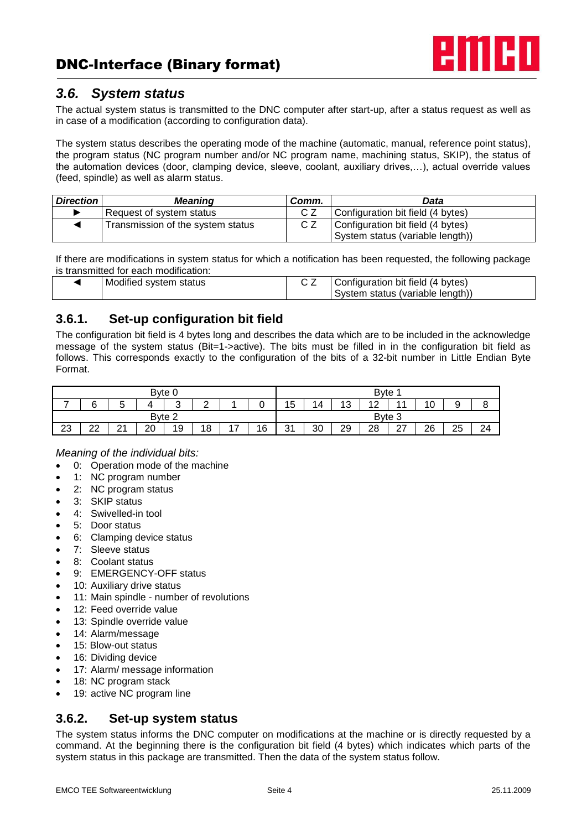

### *3.6. System status*

The actual system status is transmitted to the DNC computer after start-up, after a status request as well as in case of a modification (according to configuration data).

The system status describes the operating mode of the machine (automatic, manual, reference point status), the program status (NC program number and/or NC program name, machining status, SKIP), the status of the automation devices (door, clamping device, sleeve, coolant, auxiliary drives,…), actual override values (feed, spindle) as well as alarm status.

| <b>Direction</b> | <b>Meaning</b>                    | Comm. | Data                              |
|------------------|-----------------------------------|-------|-----------------------------------|
|                  | Request of system status          |       | Configuration bit field (4 bytes) |
|                  | Transmission of the system status |       | Configuration bit field (4 bytes) |
|                  |                                   |       | System status (variable length))  |

If there are modifications in system status for which a notification has been requested, the following package is transmitted for each modification:

| Modified system status | Configuration bit field (4 bytes) |
|------------------------|-----------------------------------|
|                        | System status (variable length))  |

### **3.6.1. Set-up configuration bit field**

The configuration bit field is 4 bytes long and describes the data which are to be included in the acknowledge message of the system status (Bit=1->active). The bits must be filled in in the configuration bit field as follows. This corresponds exactly to the configuration of the bits of a 32-bit number in Little Endian Byte Format.

|    |                 |               | Byte 0 |        |        |          |    |           |    |                       | <b>B</b> vte           |                      |                   |    |    |
|----|-----------------|---------------|--------|--------|--------|----------|----|-----------|----|-----------------------|------------------------|----------------------|-------------------|----|----|
|    | ⌒               | ∽<br>ີ        |        | ⌒<br>ັ | ◠<br>- |          | ◠  | 15        | 14 | $\overline{A}$<br>. ت | $\sqrt{2}$<br><u>_</u> |                      | $\sim$<br>А<br>ιv | U. |    |
|    |                 |               | Byte 2 |        |        |          |    |           |    |                       | Byte 3                 |                      |                   |    |    |
| 23 | nn<br><u>__</u> | ົ<br><u>L</u> | 20     | 19     | 18     | -<br>. . | 16 | 31<br>ا ب | 30 | 29                    | 28                     | $\sim$<br><u> 41</u> | າຂ<br>∠∪          | 25 | 24 |

### *Meaning of the individual bits:*

- 0: Operation mode of the machine
- 1: NC program number
- 2: NC program status
- 3: SKIP status
- 4: Swivelled-in tool
- 5: Door status
- 6: Clamping device status
- 7: Sleeve status
- 8: Coolant status
- 9: EMERGENCY-OFF status
- 10: Auxiliary drive status
- 11: Main spindle number of revolutions
- 12: Feed override value
- 13: Spindle override value
- 14: Alarm/message
- 15: Blow-out status
- 16: Dividing device
- 17: Alarm/ message information
- 18: NC program stack
- 19: active NC program line

### **3.6.2. Set-up system status**

The system status informs the DNC computer on modifications at the machine or is directly requested by a command. At the beginning there is the configuration bit field (4 bytes) which indicates which parts of the system status in this package are transmitted. Then the data of the system status follow.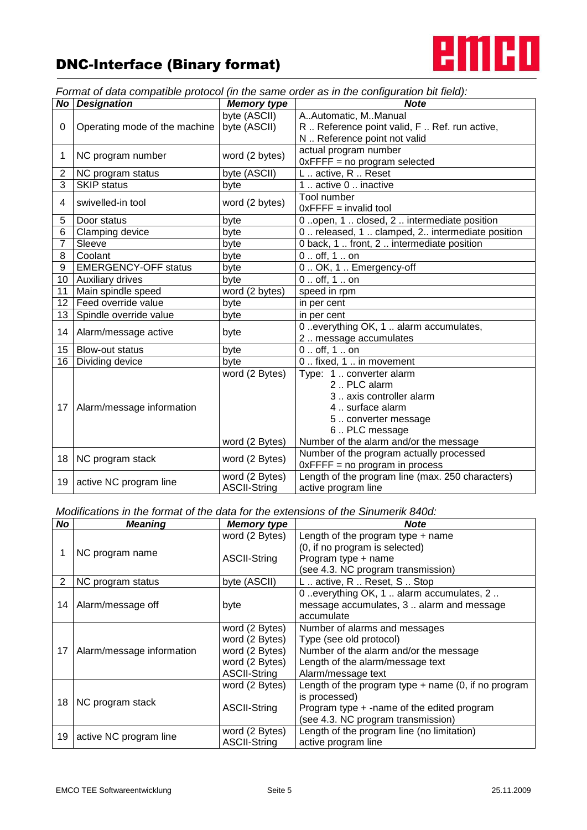

*Format of data compatible protocol (in the same order as in the configuration bit field):*

|                 | <b>No Designation</b>         | <b>Memory type</b>  | <b>Note</b>                                      |
|-----------------|-------------------------------|---------------------|--------------------------------------------------|
|                 |                               | byte (ASCII)        | AAutomatic, MManual                              |
| 0               | Operating mode of the machine | byte (ASCII)        | R  Reference point valid, F  Ref. run active,    |
|                 |                               |                     | N  Reference point not valid                     |
| 1               | NC program number             | word (2 bytes)      | actual program number                            |
|                 |                               |                     | $0x$ FFFF = no program selected                  |
| 2               | NC program status             | byte (ASCII)        | L active, R Reset                                |
| $\overline{3}$  | <b>SKIP status</b>            | byte                | 1. active 0. inactive                            |
| 4               | swivelled-in tool             | word (2 bytes)      | Tool number                                      |
|                 |                               |                     | $0x$ FFFF = invalid tool                         |
| 5               | Door status                   | byte                | 0.open, 1closed, 2 intermediate position         |
| 6               | Clamping device               | byte                | 0  released, 1  clamped, 2 intermediate position |
| 7               | Sleeve                        | byte                | 0 back, 1  front, 2  intermediate position       |
| 8               | Coolant                       | byte                | $0.$ . off, 1 on                                 |
| 9               | <b>EMERGENCY-OFF status</b>   | byte                | 0. OK, 1. Emergency-off                          |
| 10              | Auxiliary drives              | byte                | 0 off, 1 on                                      |
| 11              | Main spindle speed            | word (2 bytes)      | speed in rpm                                     |
| 12 <sup>2</sup> | Feed override value           | byte                | in per cent                                      |
| 13              | Spindle override value        | byte                | in per cent                                      |
| 14              | Alarm/message active          | byte                | 0 everything OK, 1  alarm accumulates,           |
|                 |                               |                     | 2. message accumulates                           |
| 15              | <b>Blow-out status</b>        | byte                | $0.$ . off, 1 on                                 |
| 16              | Dividing device               | byte                | 0. fixed, 1. in movement                         |
|                 |                               | word (2 Bytes)      | Type: 1  converter alarm                         |
|                 |                               |                     | 2  PLC alarm                                     |
|                 |                               |                     | 3. axis controller alarm                         |
| 17              | Alarm/message information     |                     | 4  surface alarm                                 |
|                 |                               |                     | 5. converter message                             |
|                 |                               |                     | 6. PLC message                                   |
|                 |                               | word (2 Bytes)      | Number of the alarm and/or the message           |
| 18              | NC program stack              |                     | Number of the program actually processed         |
|                 |                               | word (2 Bytes)      | $0x$ FFFF = no program in process                |
| 19              | active NC program line        | word (2 Bytes)      | Length of the program line (max. 250 characters) |
|                 |                               | <b>ASCII-String</b> | active program line                              |

#### *Modifications in the format of the data for the extensions of the Sinumerik 840d:*

| No             | <b>Meaning</b>            | <b>Memory type</b>  | <b>Note</b>                                           |
|----------------|---------------------------|---------------------|-------------------------------------------------------|
|                |                           | word (2 Bytes)      | Length of the program type $+$ name                   |
|                | NC program name           |                     | (0, if no program is selected)                        |
|                |                           | <b>ASCII-String</b> | Program type + name                                   |
|                |                           |                     | (see 4.3. NC program transmission)                    |
| $\overline{2}$ | NC program status         | byte (ASCII)        | L active, R Reset, S Stop                             |
|                |                           |                     | 0. everything OK, 1. alarm accumulates, 2.            |
| 14             | Alarm/message off         | byte                | message accumulates, 3  alarm and message             |
|                |                           |                     | accumulate                                            |
|                |                           | word (2 Bytes)      | Number of alarms and messages                         |
|                |                           | word (2 Bytes)      | Type (see old protocol)                               |
| 17             | Alarm/message information | word (2 Bytes)      | Number of the alarm and/or the message                |
|                |                           | word (2 Bytes)      | Length of the alarm/message text                      |
|                |                           | <b>ASCII-String</b> | Alarm/message text                                    |
|                |                           | word (2 Bytes)      | Length of the program type $+$ name (0, if no program |
| 18             | NC program stack          |                     | is processed)                                         |
|                |                           | <b>ASCII-String</b> | Program type + -name of the edited program            |
|                |                           |                     | (see 4.3. NC program transmission)                    |
|                |                           | word (2 Bytes)      | Length of the program line (no limitation)            |
| 19             | active NC program line    | <b>ASCII-String</b> | active program line                                   |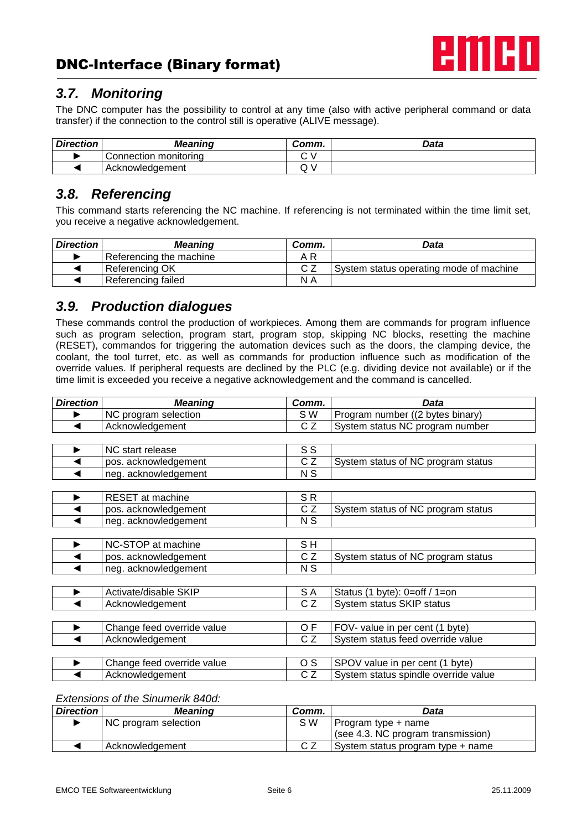

## *3.7. Monitoring*

The DNC computer has the possibility to control at any time (also with active peripheral command or data transfer) if the connection to the control still is operative (ALIVE message).

| <b>Direction</b> | <b>Meaning</b>        | Comm.   | Data |
|------------------|-----------------------|---------|------|
|                  | Connection monitoring |         |      |
|                  | Acknowledgement       | $\cdot$ |      |

### *3.8. Referencing*

This command starts referencing the NC machine. If referencing is not terminated within the time limit set, you receive a negative acknowledgement.

| <b>Direction</b> | <b>Meaning</b>          | Comm. | Data                                    |
|------------------|-------------------------|-------|-----------------------------------------|
|                  | Referencing the machine | A R   |                                         |
|                  | Referencing OK          |       | System status operating mode of machine |
|                  | Referencing failed      | N A   |                                         |

### *3.9. Production dialogues*

These commands control the production of workpieces. Among them are commands for program influence such as program selection, program start, program stop, skipping NC blocks, resetting the machine (RESET), commandos for triggering the automation devices such as the doors, the clamping device, the coolant, the tool turret, etc. as well as commands for production influence such as modification of the override values. If peripheral requests are declined by the PLC (e.g. dividing device not available) or if the time limit is exceeded you receive a negative acknowledgement and the command is cancelled.

| <b>Direction</b> | <b>Meaning</b>             | Comm.           | <b>Data</b>                          |
|------------------|----------------------------|-----------------|--------------------------------------|
|                  | NC program selection       | S W             | Program number ((2 bytes binary)     |
|                  | Acknowledgement            | CZ              | System status NC program number      |
|                  |                            |                 |                                      |
|                  | NC start release           | S S             |                                      |
|                  | pos. acknowledgement       | CZ              | System status of NC program status   |
|                  | neg. acknowledgement       | N S             |                                      |
|                  |                            |                 |                                      |
| ▶                | RESET at machine           | SR.             |                                      |
|                  | pos. acknowledgement       | CZ              | System status of NC program status   |
|                  | neg. acknowledgement       | N S             |                                      |
|                  |                            |                 |                                      |
|                  | NC-STOP at machine         | SH              |                                      |
|                  | pos. acknowledgement       | CZ              | System status of NC program status   |
|                  | neg. acknowledgement       | N S             |                                      |
|                  |                            |                 |                                      |
|                  | Activate/disable SKIP      | S A             | Status (1 byte): $0=$ off / 1=on     |
|                  | Acknowledgement            | $\overline{CZ}$ | System status SKIP status            |
|                  |                            |                 |                                      |
| ▶                | Change feed override value | OF.             | FOV- value in per cent (1 byte)      |
|                  | Acknowledgement            | C Z             | System status feed override value    |
|                  |                            |                 |                                      |
| ▶                | Change feed override value | O S             | SPOV value in per cent (1 byte)      |
|                  | Acknowledgement            | C Z             | System status spindle override value |

#### *Extensions of the Sinumerik 840d:*

| <b>Direction</b> | <b>Meaning</b>       | Comm. | Data                               |
|------------------|----------------------|-------|------------------------------------|
|                  | NC program selection | S W   | Program type + name                |
|                  |                      |       | (see 4.3. NC program transmission) |
|                  | Acknowledgement      |       | System status program type + name  |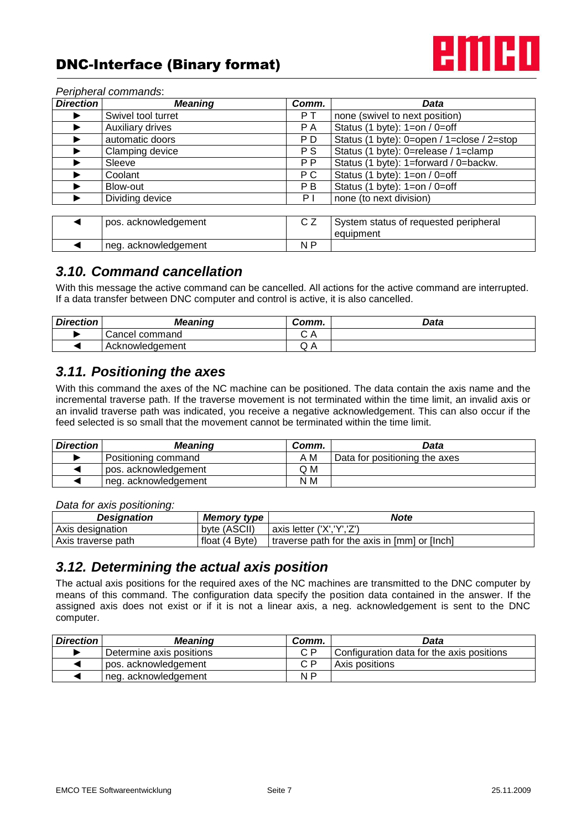

| Direction | <b>Meaning</b>       | Comm.          | Data                                               |
|-----------|----------------------|----------------|----------------------------------------------------|
|           | Swivel tool turret   | PT.            | none (swivel to next position)                     |
|           | Auxiliary drives     | P A            | Status (1 byte): 1=on / 0=off                      |
|           | automatic doors      | P D            | Status (1 byte): 0=open / 1=close / 2=stop         |
|           | Clamping device      | P S            | Status (1 byte): 0=release / 1=clamp               |
|           | Sleeve               | P <sub>P</sub> | Status (1 byte): 1=forward / 0=backw.              |
|           | Coolant              | P C            | Status (1 byte): 1=on / 0=off                      |
|           | Blow-out             | P B            | Status (1 byte): $1=on / 0=off$                    |
|           | Dividing device      | ΡI             | none (to next division)                            |
|           |                      |                |                                                    |
|           | pos. acknowledgement | CZ             | System status of requested peripheral<br>equipment |
|           | neg. acknowledgement | N P            |                                                    |

#### *Peripheral commands*:

## *3.10. Command cancellation*

With this message the active command can be cancelled. All actions for the active command are interrupted. If a data transfer between DNC computer and control is active, it is also cancelled.

| <b>Direction</b> | <b>Meaning</b>  | Comm.  | Data |
|------------------|-----------------|--------|------|
|                  | Cancel command  | ◡◠     |      |
|                  | Acknowledgement | $\vee$ |      |

# *3.11. Positioning the axes*

With this command the axes of the NC machine can be positioned. The data contain the axis name and the incremental traverse path. If the traverse movement is not terminated within the time limit, an invalid axis or an invalid traverse path was indicated, you receive a negative acknowledgement. This can also occur if the feed selected is so small that the movement cannot be terminated within the time limit.

| <b>Direction</b> | <b>Meaning</b>       | Comm. | Data                          |
|------------------|----------------------|-------|-------------------------------|
|                  | Positioning command  | A M   | Data for positioning the axes |
|                  | pos. acknowledgement | Q M   |                               |
|                  | neg. acknowledgement | N M   |                               |

*Data for axis positioning:*

| Designation        | Memory type '  | <b>Note</b>                                  |
|--------------------|----------------|----------------------------------------------|
| Axis designation   | byte (ASCII)   | axis letter ('X','Y','Z')                    |
| Axis traverse path | float (4 Byte) | traverse path for the axis in [mm] or [lnch] |

## *3.12. Determining the actual axis position*

The actual axis positions for the required axes of the NC machines are transmitted to the DNC computer by means of this command. The configuration data specify the position data contained in the answer. If the assigned axis does not exist or if it is not a linear axis, a neg. acknowledgement is sent to the DNC computer.

| <b>Direction</b> | <b>Meaning</b>           | Comm. | Data                                      |
|------------------|--------------------------|-------|-------------------------------------------|
|                  | Determine axis positions | C P   | Configuration data for the axis positions |
|                  | pos. acknowledgement     | C.P   | Axis positions                            |
|                  | neg. acknowledgement     | N P   |                                           |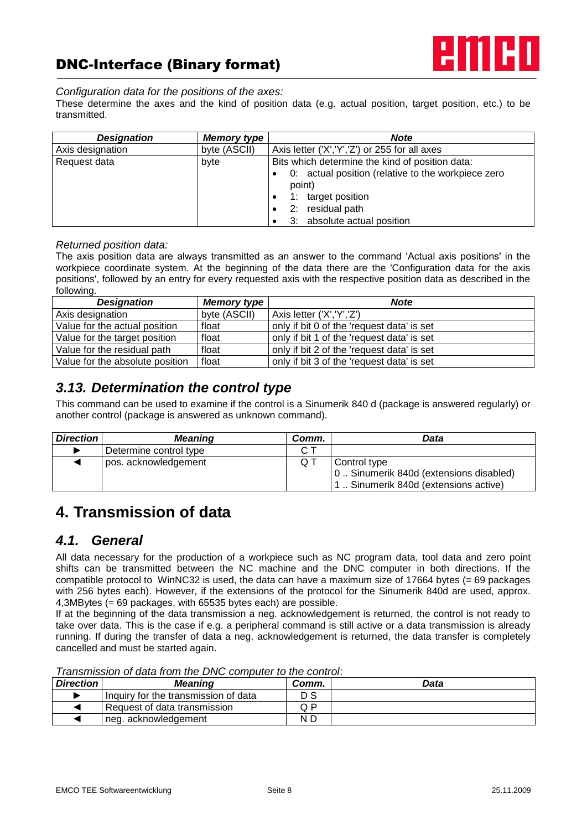



#### *Configuration data for the positions of the axes:*

These determine the axes and the kind of position data (e.g. actual position, target position, etc.) to be transmitted.

| <b>Designation</b> | <b>Memory type</b> | <b>Note</b>                                        |  |
|--------------------|--------------------|----------------------------------------------------|--|
| Axis designation   | byte (ASCII)       | Axis letter ('X', 'Y', 'Z') or 255 for all axes    |  |
| Request data       | byte               | Bits which determine the kind of position data:    |  |
|                    |                    | 0: actual position (relative to the workpiece zero |  |
|                    |                    | point)                                             |  |
|                    |                    | 1: target position                                 |  |
|                    |                    | 2: residual path                                   |  |
|                    |                    | 3: absolute actual position                        |  |

#### *Returned position data:*

The axis position data are always transmitted as an answer to the command 'Actual axis positions' in the workpiece coordinate system. At the beginning of the data there are the 'Configuration data for the axis positions', followed by an entry for every requested axis with the respective position data as described in the following.

| <b>Designation</b>              | <b>Memory type</b> | <b>Note</b>                                |
|---------------------------------|--------------------|--------------------------------------------|
| Axis designation                | byte (ASCII)       | Axis letter ('X','Y','Z')                  |
| Value for the actual position   | float              | only if bit 0 of the 'request data' is set |
| Value for the target position   | float              | only if bit 1 of the 'request data' is set |
| Value for the residual path     | float              | only if bit 2 of the 'request data' is set |
| Value for the absolute position | float              | only if bit 3 of the 'request data' is set |

### *3.13. Determination the control type*

This command can be used to examine if the control is a Sinumerik 840 d (package is answered regularly) or another control (package is answered as unknown command).

| <b>Direction</b> | <b>Meaning</b>         | Comm. | Data                                                                                            |
|------------------|------------------------|-------|-------------------------------------------------------------------------------------------------|
|                  | Determine control type |       |                                                                                                 |
|                  | pos. acknowledgement   |       | Control type<br>0 Sinumerik 840d (extensions disabled)<br>1. Sinumerik 840d (extensions active) |

# **4. Transmission of data**

### *4.1. General*

All data necessary for the production of a workpiece such as NC program data, tool data and zero point shifts can be transmitted between the NC machine and the DNC computer in both directions. If the compatible protocol to WinNC32 is used, the data can have a maximum size of 17664 bytes (= 69 packages with 256 bytes each). However, if the extensions of the protocol for the Sinumerik 840d are used, approx. 4,3MBytes (= 69 packages, with 65535 bytes each) are possible.

If at the beginning of the data transmission a neg. acknowledgement is returned, the control is not ready to take over data. This is the case if e.g. a peripheral command is still active or a data transmission is already running. If during the transfer of data a neg. acknowledgement is returned, the data transfer is completely cancelled and must be started again.

*Transmission of data from the DNC computer to the control*:

| <b>Direction</b> | Meaning                              | Comm. | Data |  |  |
|------------------|--------------------------------------|-------|------|--|--|
|                  | Inquiry for the transmission of data | D S   |      |  |  |
|                  | Request of data transmission         | Q P   |      |  |  |
|                  | neg. acknowledgement                 | N D   |      |  |  |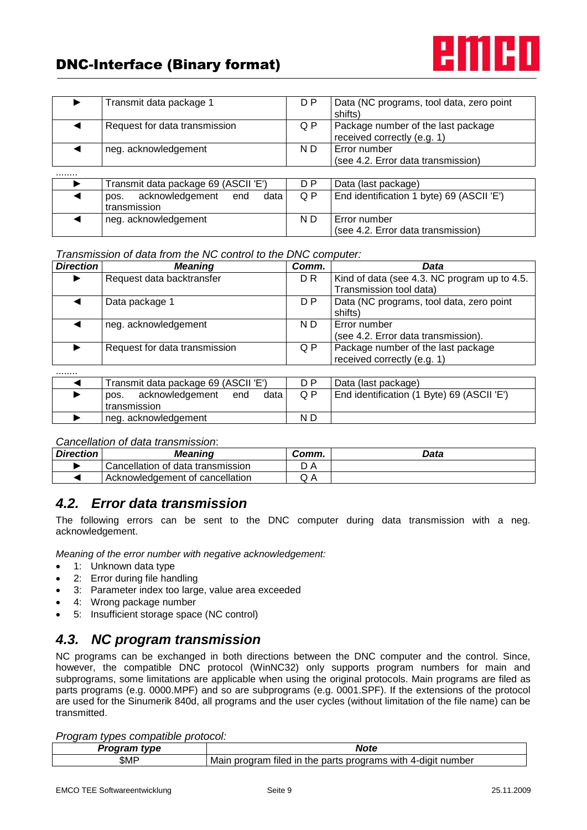

*Transmission of data from the NC control to the DNC computer:*

| <b>Direction</b> | <b>Meaning</b>                      | Comm.          | Data                                         |
|------------------|-------------------------------------|----------------|----------------------------------------------|
|                  | Request data backtransfer           | D <sub>R</sub> | Kind of data (see 4.3. NC program up to 4.5. |
|                  |                                     |                | Transmission tool data)                      |
|                  | Data package 1                      | D P            | Data (NC programs, tool data, zero point     |
|                  |                                     |                | shifts)                                      |
|                  | neg. acknowledgement                | N D            | Error number                                 |
|                  |                                     |                | (see 4.2. Error data transmission).          |
|                  | Request for data transmission       | Q P            | Package number of the last package           |
|                  |                                     |                | received correctly (e.g. 1)                  |
|                  |                                     |                |                                              |
|                  | Transmit data nackage 69 (ASCIL'F') | D P            | Data (last nackage)                          |

| Transmit data package 69 (ASCII 'E')   | n P | Data (last package)                        |
|----------------------------------------|-----|--------------------------------------------|
| data<br>acknowledgement<br>end<br>pos. | Q P | End identification (1 Byte) 69 (ASCII 'E') |
| transmission                           |     |                                            |
| neg. acknowledgement                   | N D |                                            |

*Cancellation of data transmission*:

| <b>Direction</b> | Meaning                           | Comm.            | Data |
|------------------|-----------------------------------|------------------|------|
|                  | Cancellation of data transmission |                  |      |
|                  | Acknowledgement of cancellation   | $\sqrt{ }$<br>◡୵ |      |

## *4.2. Error data transmission*

The following errors can be sent to the DNC computer during data transmission with a neg. acknowledgement.

*Meaning of the error number with negative acknowledgement:*

- 1: Unknown data type
- 2: Error during file handling
- 3: Parameter index too large, value area exceeded
- 4: Wrong package number
- 5: Insufficient storage space (NC control)

## *4.3. NC program transmission*

NC programs can be exchanged in both directions between the DNC computer and the control. Since, however, the compatible DNC protocol (WinNC32) only supports program numbers for main and subprograms, some limitations are applicable when using the original protocols. Main programs are filed as parts programs (e.g. 0000.MPF) and so are subprograms (e.g. 0001.SPF). If the extensions of the protocol are used for the Sinumerik 840d, all programs and the user cycles (without limitation of the file name) can be transmitted.

#### *Program types compatible protocol:*

| tvne | <b>Note</b>                                                                                       |
|------|---------------------------------------------------------------------------------------------------|
| \$MP | .<br>Mair<br>parts<br>number<br>≧rodram<br>in the<br>tiled<br>programs<br>with<br>⊥ 4-diai*<br>nr |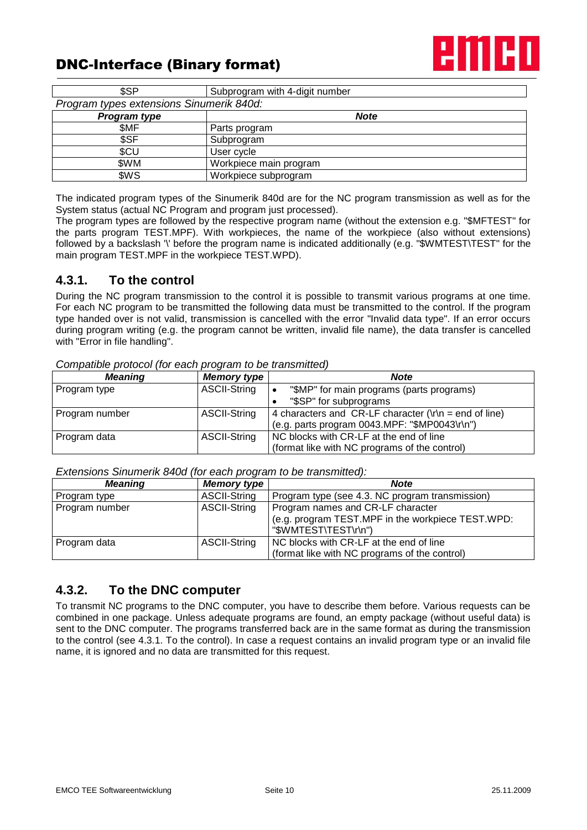

| \$SP                                     | Subprogram with 4-digit number |  |  |  |
|------------------------------------------|--------------------------------|--|--|--|
| Program types extensions Sinumerik 840d: |                                |  |  |  |
| Program type                             | <b>Note</b>                    |  |  |  |
| \$MF                                     | Parts program                  |  |  |  |
| \$SF                                     | Subprogram                     |  |  |  |
| \$CU                                     | User cycle                     |  |  |  |
| \$WM                                     | Workpiece main program         |  |  |  |
| \$WS                                     | Workpiece subprogram           |  |  |  |

The indicated program types of the Sinumerik 840d are for the NC program transmission as well as for the System status (actual NC Program and program just processed).

The program types are followed by the respective program name (without the extension e.g. "\$MFTEST" for the parts program TEST.MPF). With workpieces, the name of the workpiece (also without extensions) followed by a backslash '\' before the program name is indicated additionally (e.g. "\$WMTEST\TEST" for the main program TEST.MPF in the workpiece TEST.WPD).

### **4.3.1. To the control**

During the NC program transmission to the control it is possible to transmit various programs at one time. For each NC program to be transmitted the following data must be transmitted to the control. If the program type handed over is not valid, transmission is cancelled with the error "Invalid data type". If an error occurs during program writing (e.g. the program cannot be written, invalid file name), the data transfer is cancelled with "Error in file handling".

| <b>Meaning</b>                      | <b>Memory type</b>  | <b>Note</b>                                                                 |  |
|-------------------------------------|---------------------|-----------------------------------------------------------------------------|--|
| Program type                        | <b>ASCII-String</b> | "\$MP" for main programs (parts programs)                                   |  |
|                                     |                     | "\$SP" for subprograms                                                      |  |
| Program number                      | <b>ASCII-String</b> | 4 characters and CR-LF character $(\nabla \cdot \mathbf{r})$ = end of line) |  |
|                                     |                     | (e.g. parts program 0043.MPF: "\$MP0043\r\n")                               |  |
| <b>ASCII-String</b><br>Program data |                     | NC blocks with CR-LF at the end of line                                     |  |
|                                     |                     | (format like with NC programs of the control)                               |  |

*Compatible protocol (for each program to be transmitted)*

*Extensions Sinumerik 840d (for each program to be transmitted):*

| <b>Meaning</b> | <b>Memory type</b>  | <b>Note</b>                                       |
|----------------|---------------------|---------------------------------------------------|
| Program type   | <b>ASCII-String</b> | Program type (see 4.3. NC program transmission)   |
| Program number | <b>ASCII-String</b> | Program names and CR-LF character                 |
|                |                     | (e.g. program TEST.MPF in the workpiece TEST.WPD: |
|                |                     | "\$WMTEST\TEST\r\n")                              |
| Program data   | <b>ASCII-String</b> | NC blocks with CR-LF at the end of line           |
|                |                     | (format like with NC programs of the control)     |

### **4.3.2. To the DNC computer**

To transmit NC programs to the DNC computer, you have to describe them before. Various requests can be combined in one package. Unless adequate programs are found, an empty package (without useful data) is sent to the DNC computer. The programs transferred back are in the same format as during the transmission to the control (see 4.3.1. To the control). In case a request contains an invalid program type or an invalid file name, it is ignored and no data are transmitted for this request.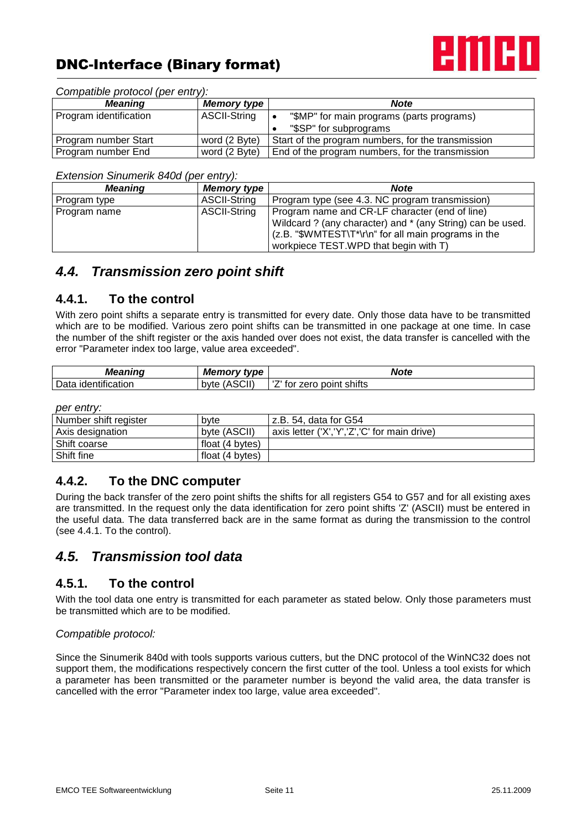

| Compatible protocol (per entry): |  |  |  |  |
|----------------------------------|--|--|--|--|
|----------------------------------|--|--|--|--|

| <b>Meaning</b>                        | <b>Memory type</b>  | <b>Note</b>                                        |
|---------------------------------------|---------------------|----------------------------------------------------|
| Program identification                | <b>ASCII-String</b> | "\$MP" for main programs (parts programs)          |
|                                       |                     | "\$SP" for subprograms                             |
| word (2 Byte)<br>Program number Start |                     | Start of the program numbers, for the transmission |
| word (2 Byte)<br>Program number End   |                     | End of the program numbers, for the transmission   |

#### *Extension Sinumerik 840d (per entry):*

| <b>Meaning</b> | <b>Memory type</b>  | <b>Note</b>                                                                                                                                                                                                    |
|----------------|---------------------|----------------------------------------------------------------------------------------------------------------------------------------------------------------------------------------------------------------|
| Program type   | <b>ASCII-String</b> | Program type (see 4.3. NC program transmission)                                                                                                                                                                |
| Program name   | <b>ASCII-String</b> | Program name and CR-LF character (end of line)<br>Wildcard ? (any character) and * (any String) can be used.<br>(z.B. "\$WMTEST\T*\r\n" for all main programs in the<br>workpiece TEST. WPD that begin with T) |

### *4.4. Transmission zero point shift*

### **4.4.1. To the control**

With zero point shifts a separate entry is transmitted for every date. Only those data have to be transmitted which are to be modified. Various zero point shifts can be transmitted in one package at one time. In case the number of the shift register or the axis handed over does not exist, the data transfer is cancelled with the error "Parameter index too large, value area exceeded".

| <b>Meaning</b>                             | <b>Memory type</b>     | <b>Note</b>                                         |
|--------------------------------------------|------------------------|-----------------------------------------------------|
| .<br>-<br>Data<br>.<br>ntification<br>lder | ASCII)<br>(AS)<br>byte | $-1$<br>$\cdot$ .<br>shifts<br>zero<br>point<br>tor |

#### *per entry:*

| Number shift register | byte            | z.B. 54. data for G54                        |
|-----------------------|-----------------|----------------------------------------------|
| Axis designation      | byte (ASCII)    | axis letter ('X','Y','Z','C' for main drive) |
| Shift coarse          | float (4 bytes) |                                              |
| Shift fine            | float (4 bytes) |                                              |

### **4.4.2. To the DNC computer**

During the back transfer of the zero point shifts the shifts for all registers G54 to G57 and for all existing axes are transmitted. In the request only the data identification for zero point shifts 'Z' (ASCII) must be entered in the useful data. The data transferred back are in the same format as during the transmission to the control (see 4.4.1. To the control).

### *4.5. Transmission tool data*

### **4.5.1. To the control**

With the tool data one entry is transmitted for each parameter as stated below. Only those parameters must be transmitted which are to be modified.

#### *Compatible protocol:*

Since the Sinumerik 840d with tools supports various cutters, but the DNC protocol of the WinNC32 does not support them, the modifications respectively concern the first cutter of the tool. Unless a tool exists for which a parameter has been transmitted or the parameter number is beyond the valid area, the data transfer is cancelled with the error "Parameter index too large, value area exceeded".